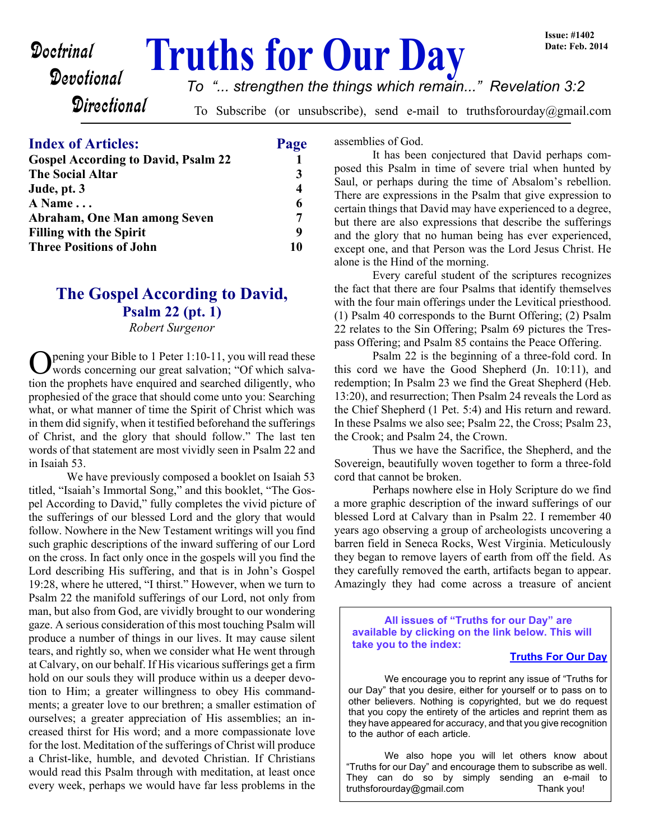# **Doctrinal** Truths for Our Day

## **Devotional**

*To "... strengthen the things which remain..." Revelation 3:2*

**Directional** 

To Subscribe (or unsubscribe), send e-mail to truthsforourday@gmail.com

#### **Index of Articles: Page**

| <b>Gospel According to David, Psalm 22</b> |    |
|--------------------------------------------|----|
| <b>The Social Altar</b>                    |    |
| Jude, pt. 3                                |    |
| $A$ Name $\ldots$                          |    |
| Abraham, One Man among Seven               |    |
| <b>Filling with the Spirit</b>             |    |
| <b>Three Positions of John</b>             | 10 |

### **The Gospel According to David, Psalm 22 (pt. 1)**

*Robert Surgenor*

**O** pening your Bible to 1 Peter 1:10-11, you will read these words concerning our great salvation; "Of which salvation the prophets have enquired and searched diligently, who pening your Bible to 1 Peter 1:10-11, you will read these words concerning our great salvation; "Of which salvaprophesied of the grace that should come unto you: Searching what, or what manner of time the Spirit of Christ which was in them did signify, when it testified beforehand the sufferings of Christ, and the glory that should follow." The last ten words of that statement are most vividly seen in Psalm 22 and in Isaiah 53.

 We have previously composed a booklet on Isaiah 53 titled, "Isaiah's Immortal Song," and this booklet, "The Gospel According to David," fully completes the vivid picture of the sufferings of our blessed Lord and the glory that would follow. Nowhere in the New Testament writings will you find such graphic descriptions of the inward suffering of our Lord on the cross. In fact only once in the gospels will you find the Lord describing His suffering, and that is in John's Gospel 19:28, where he uttered, "I thirst." However, when we turn to Psalm 22 the manifold sufferings of our Lord, not only from man, but also from God, are vividly brought to our wondering gaze. A serious consideration of this most touching Psalm will produce a number of things in our lives. It may cause silent tears, and rightly so, when we consider what He went through at Calvary, on our behalf. If His vicarious sufferings get a firm hold on our souls they will produce within us a deeper devotion to Him; a greater willingness to obey His commandments; a greater love to our brethren; a smaller estimation of ourselves; a greater appreciation of His assemblies; an increased thirst for His word; and a more compassionate love for the lost. Meditation of the sufferings of Christ will produce a Christ-like, humble, and devoted Christian. If Christians would read this Psalm through with meditation, at least once every week, perhaps we would have far less problems in the

assemblies of God.

 It has been conjectured that David perhaps composed this Psalm in time of severe trial when hunted by Saul, or perhaps during the time of Absalom's rebellion. There are expressions in the Psalm that give expression to certain things that David may have experienced to a degree, but there are also expressions that describe the sufferings and the glory that no human being has ever experienced, except one, and that Person was the Lord Jesus Christ. He alone is the Hind of the morning.

 Every careful student of the scriptures recognizes the fact that there are four Psalms that identify themselves with the four main offerings under the Levitical priesthood. (1) Psalm 40 corresponds to the Burnt Offering; (2) Psalm 22 relates to the Sin Offering; Psalm 69 pictures the Trespass Offering; and Psalm 85 contains the Peace Offering.

 Psalm 22 is the beginning of a three-fold cord. In this cord we have the Good Shepherd (Jn. 10:11), and redemption; In Psalm 23 we find the Great Shepherd (Heb. 13:20), and resurrection; Then Psalm 24 reveals the Lord as the Chief Shepherd (1 Pet. 5:4) and His return and reward. In these Psalms we also see; Psalm 22, the Cross; Psalm 23, the Crook; and Psalm 24, the Crown.

 Thus we have the Sacrifice, the Shepherd, and the Sovereign, beautifully woven together to form a three-fold cord that cannot be broken.

 Perhaps nowhere else in Holy Scripture do we find a more graphic description of the inward sufferings of our blessed Lord at Calvary than in Psalm 22. I remember 40 years ago observing a group of archeologists uncovering a barren field in Seneca Rocks, West Virginia. Meticulously they began to remove layers of earth from off the field. As they carefully removed the earth, artifacts began to appear. Amazingly they had come across a treasure of ancient

**All issues of "Truths for our Day" are available by clicking on the link below. This will take you to the index:**

#### **[Truths For Our Day](http://truthsforourday.com)**

 We encourage you to reprint any issue of "Truths for our Day" that you desire, either for yourself or to pass on to other believers. Nothing is copyrighted, but we do request that you copy the entirety of the articles and reprint them as they have appeared for accuracy, and that you give recognition to the author of each article.

 We also hope you will let others know about "Truths for our Day" and encourage them to subscribe as well. They can do so by simply sending an e-mail to truthsforourday@gmail.com Thank you!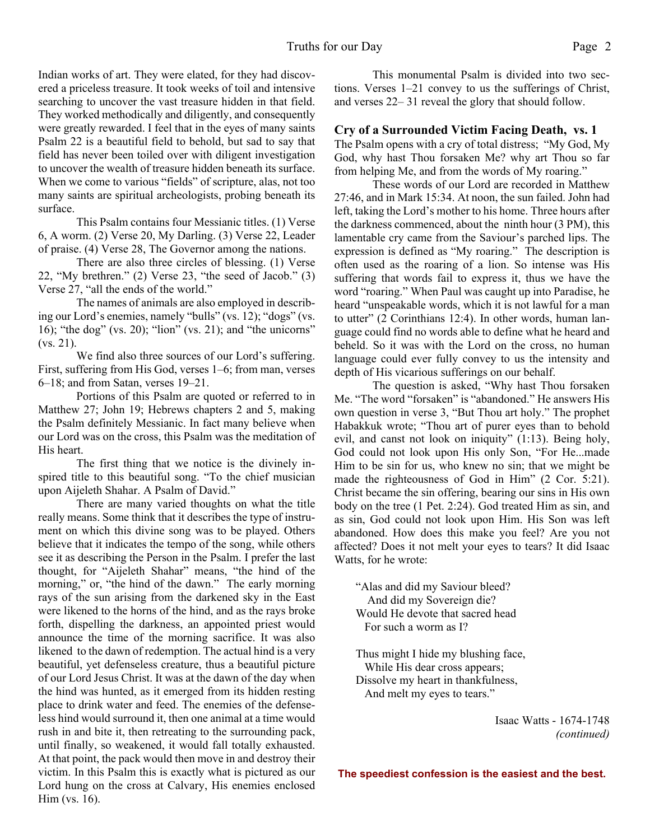Indian works of art. They were elated, for they had discovered a priceless treasure. It took weeks of toil and intensive searching to uncover the vast treasure hidden in that field. They worked methodically and diligently, and consequently were greatly rewarded. I feel that in the eyes of many saints Psalm 22 is a beautiful field to behold, but sad to say that field has never been toiled over with diligent investigation to uncover the wealth of treasure hidden beneath its surface. When we come to various "fields" of scripture, alas, not too many saints are spiritual archeologists, probing beneath its surface.

 This Psalm contains four Messianic titles. (1) Verse 6, A worm. (2) Verse 20, My Darling. (3) Verse 22, Leader of praise. (4) Verse 28, The Governor among the nations.

 There are also three circles of blessing. (1) Verse 22, "My brethren." (2) Verse 23, "the seed of Jacob." (3) Verse 27, "all the ends of the world."

 The names of animals are also employed in describing our Lord's enemies, namely "bulls" (vs. 12); "dogs" (vs. 16); "the dog" (vs. 20); "lion" (vs. 21); and "the unicorns" (vs. 21).

 We find also three sources of our Lord's suffering. First, suffering from His God, verses 1–6; from man, verses 6–18; and from Satan, verses 19–21.

 Portions of this Psalm are quoted or referred to in Matthew 27; John 19; Hebrews chapters 2 and 5, making the Psalm definitely Messianic. In fact many believe when our Lord was on the cross, this Psalm was the meditation of His heart.

 The first thing that we notice is the divinely inspired title to this beautiful song. "To the chief musician upon Aijeleth Shahar. A Psalm of David."

 There are many varied thoughts on what the title really means. Some think that it describes the type of instrument on which this divine song was to be played. Others believe that it indicates the tempo of the song, while others see it as describing the Person in the Psalm. I prefer the last thought, for "Aijeleth Shahar" means, "the hind of the morning," or, "the hind of the dawn." The early morning rays of the sun arising from the darkened sky in the East were likened to the horns of the hind, and as the rays broke forth, dispelling the darkness, an appointed priest would announce the time of the morning sacrifice. It was also likened to the dawn of redemption. The actual hind is a very beautiful, yet defenseless creature, thus a beautiful picture of our Lord Jesus Christ. It was at the dawn of the day when the hind was hunted, as it emerged from its hidden resting place to drink water and feed. The enemies of the defenseless hind would surround it, then one animal at a time would rush in and bite it, then retreating to the surrounding pack, until finally, so weakened, it would fall totally exhausted. At that point, the pack would then move in and destroy their victim. In this Psalm this is exactly what is pictured as our Lord hung on the cross at Calvary, His enemies enclosed Him (vs. 16).

 This monumental Psalm is divided into two sections. Verses 1–21 convey to us the sufferings of Christ, and verses 22– 31 reveal the glory that should follow.

#### **Cry of a Surrounded Victim Facing Death, vs. 1**

The Psalm opens with a cry of total distress; "My God, My God, why hast Thou forsaken Me? why art Thou so far from helping Me, and from the words of My roaring."

 These words of our Lord are recorded in Matthew 27:46, and in Mark 15:34. At noon, the sun failed. John had left, taking the Lord's mother to his home. Three hours after the darkness commenced, about the ninth hour (3 PM), this lamentable cry came from the Saviour's parched lips. The expression is defined as "My roaring." The description is often used as the roaring of a lion. So intense was His suffering that words fail to express it, thus we have the word "roaring." When Paul was caught up into Paradise, he heard "unspeakable words, which it is not lawful for a man to utter" (2 Corinthians 12:4). In other words, human language could find no words able to define what he heard and beheld. So it was with the Lord on the cross, no human language could ever fully convey to us the intensity and depth of His vicarious sufferings on our behalf.

 The question is asked, "Why hast Thou forsaken Me. "The word "forsaken" is "abandoned." He answers His own question in verse 3, "But Thou art holy." The prophet Habakkuk wrote; "Thou art of purer eyes than to behold evil, and canst not look on iniquity" (1:13). Being holy, God could not look upon His only Son, "For He...made Him to be sin for us, who knew no sin; that we might be made the righteousness of God in Him" (2 Cor. 5:21). Christ became the sin offering, bearing our sins in His own body on the tree (1 Pet. 2:24). God treated Him as sin, and as sin, God could not look upon Him. His Son was left abandoned. How does this make you feel? Are you not affected? Does it not melt your eyes to tears? It did Isaac Watts, for he wrote:

"Alas and did my Saviour bleed? And did my Sovereign die? Would He devote that sacred head For such a worm as I?

Thus might I hide my blushing face, While His dear cross appears; Dissolve my heart in thankfulness, And melt my eyes to tears."

> Isaac Watts - 1674-1748 *(continued)*

**The speediest confession is the easiest and the best.**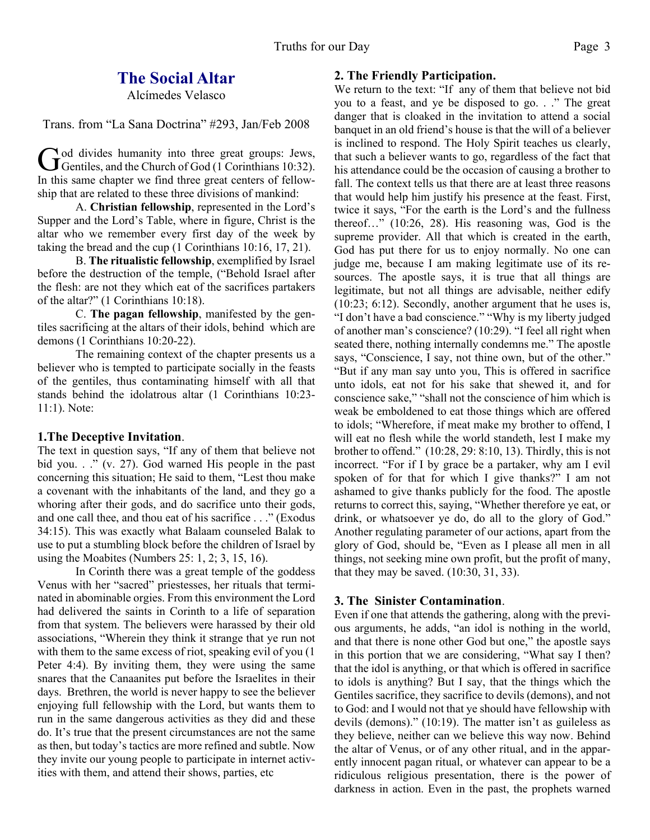#### **The Social Altar**

Alcímedes Velasco

Trans. from "La Sana Doctrina" #293, Jan/Feb 2008

God divides humanity into three great groups: Jews,<br>Gentiles, and the Church of God (1 Corinthians 10:32). Gentiles, and the Church of God (1 Corinthians 10:32). In this same chapter we find three great centers of fellowship that are related to these three divisions of mankind:

 A. **Christian fellowship**, represented in the Lord's Supper and the Lord's Table, where in figure, Christ is the altar who we remember every first day of the week by taking the bread and the cup (1 Corinthians 10:16, 17, 21).

 B. **The ritualistic fellowship**, exemplified by Israel before the destruction of the temple, ("Behold Israel after the flesh: are not they which eat of the sacrifices partakers of the altar?" (1 Corinthians 10:18).

 C. **The pagan fellowship**, manifested by the gentiles sacrificing at the altars of their idols, behind which are demons (1 Corinthians 10:20-22).

 The remaining context of the chapter presents us a believer who is tempted to participate socially in the feasts of the gentiles, thus contaminating himself with all that stands behind the idolatrous altar (1 Corinthians 10:23- 11:1). Note:

#### **1.The Deceptive Invitation**.

The text in question says, "If any of them that believe not bid you. . ." (v. 27). God warned His people in the past concerning this situation; He said to them, "Lest thou make a covenant with the inhabitants of the land, and they go a whoring after their gods, and do sacrifice unto their gods, and one call thee, and thou eat of his sacrifice . . ." (Exodus 34:15). This was exactly what Balaam counseled Balak to use to put a stumbling block before the children of Israel by using the Moabites (Numbers 25: 1, 2; 3, 15, 16).

 In Corinth there was a great temple of the goddess Venus with her "sacred" priestesses, her rituals that terminated in abominable orgies. From this environment the Lord had delivered the saints in Corinth to a life of separation from that system. The believers were harassed by their old associations, "Wherein they think it strange that ye run not with them to the same excess of riot, speaking evil of you (1) Peter 4:4). By inviting them, they were using the same snares that the Canaanites put before the Israelites in their days. Brethren, the world is never happy to see the believer enjoying full fellowship with the Lord, but wants them to run in the same dangerous activities as they did and these do. It's true that the present circumstances are not the same as then, but today's tactics are more refined and subtle. Now they invite our young people to participate in internet activities with them, and attend their shows, parties, etc

#### **2. The Friendly Participation.**

We return to the text: "If any of them that believe not bid you to a feast, and ye be disposed to go. . ." The great danger that is cloaked in the invitation to attend a social banquet in an old friend's house is that the will of a believer is inclined to respond. The Holy Spirit teaches us clearly, that such a believer wants to go, regardless of the fact that his attendance could be the occasion of causing a brother to fall. The context tells us that there are at least three reasons that would help him justify his presence at the feast. First, twice it says, "For the earth is the Lord's and the fullness thereof…" (10:26, 28). His reasoning was, God is the supreme provider. All that which is created in the earth, God has put there for us to enjoy normally. No one can judge me, because I am making legitimate use of its resources. The apostle says, it is true that all things are legitimate, but not all things are advisable, neither edify (10:23; 6:12). Secondly, another argument that he uses is, "I don't have a bad conscience." "Why is my liberty judged of another man's conscience? (10:29). "I feel all right when seated there, nothing internally condemns me." The apostle says, "Conscience, I say, not thine own, but of the other." "But if any man say unto you, This is offered in sacrifice unto idols, eat not for his sake that shewed it, and for conscience sake," "shall not the conscience of him which is weak be emboldened to eat those things which are offered to idols; "Wherefore, if meat make my brother to offend, I will eat no flesh while the world standeth, lest I make my brother to offend." (10:28, 29: 8:10, 13). Thirdly, this is not incorrect. "For if I by grace be a partaker, why am I evil spoken of for that for which I give thanks?" I am not ashamed to give thanks publicly for the food. The apostle returns to correct this, saying, "Whether therefore ye eat, or drink, or whatsoever ye do, do all to the glory of God." Another regulating parameter of our actions, apart from the glory of God, should be, "Even as I please all men in all things, not seeking mine own profit, but the profit of many, that they may be saved. (10:30, 31, 33).

#### **3. The Sinister Contamination**.

Even if one that attends the gathering, along with the previous arguments, he adds, "an idol is nothing in the world, and that there is none other God but one," the apostle says in this portion that we are considering, "What say I then? that the idol is anything, or that which is offered in sacrifice to idols is anything? But I say, that the things which the Gentiles sacrifice, they sacrifice to devils (demons), and not to God: and I would not that ye should have fellowship with devils (demons)." (10:19). The matter isn't as guileless as they believe, neither can we believe this way now. Behind the altar of Venus, or of any other ritual, and in the apparently innocent pagan ritual, or whatever can appear to be a ridiculous religious presentation, there is the power of darkness in action. Even in the past, the prophets warned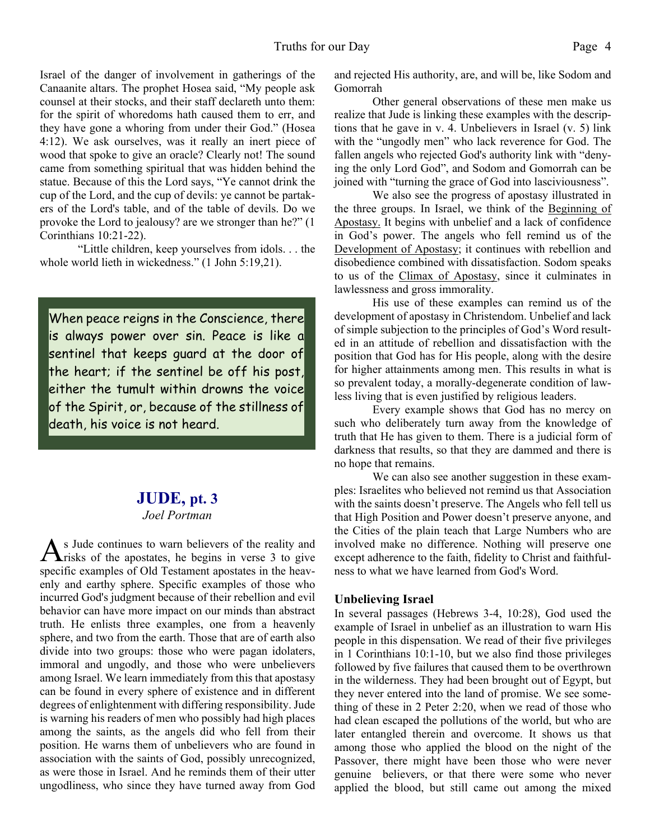Israel of the danger of involvement in gatherings of the Canaanite altars. The prophet Hosea said, "My people ask counsel at their stocks, and their staff declareth unto them: for the spirit of whoredoms hath caused them to err, and they have gone a whoring from under their God." (Hosea 4:12). We ask ourselves, was it really an inert piece of wood that spoke to give an oracle? Clearly not! The sound came from something spiritual that was hidden behind the statue. Because of this the Lord says, "Ye cannot drink the cup of the Lord, and the cup of devils: ye cannot be partakers of the Lord's table, and of the table of devils. Do we provoke the Lord to jealousy? are we stronger than he?" (1 Corinthians 10:21-22).

 "Little children, keep yourselves from idols. . . the whole world lieth in wickedness." (1 John 5:19,21).

When peace reigns in the Conscience, there is always power over sin. Peace is like a sentinel that keeps quard at the door of the heart; if the sentinel be off his post, either the tumult within drowns the voice of the Spirit, or, because of the stillness of death, his voice is not heard.

#### **JUDE, pt. 3** *Joel Portman*

 $A$ <sup>s</sup> Jude continues to warn believers of the reality and risks of the apostates, he begins in verse 3 to give s Jude continues to warn believers of the reality and specific examples of Old Testament apostates in the heavenly and earthy sphere. Specific examples of those who incurred God's judgment because of their rebellion and evil behavior can have more impact on our minds than abstract truth. He enlists three examples, one from a heavenly sphere, and two from the earth. Those that are of earth also divide into two groups: those who were pagan idolaters, immoral and ungodly, and those who were unbelievers among Israel. We learn immediately from this that apostasy can be found in every sphere of existence and in different degrees of enlightenment with differing responsibility. Jude is warning his readers of men who possibly had high places among the saints, as the angels did who fell from their position. He warns them of unbelievers who are found in association with the saints of God, possibly unrecognized, as were those in Israel. And he reminds them of their utter ungodliness, who since they have turned away from God and rejected His authority, are, and will be, like Sodom and Gomorrah

 Other general observations of these men make us realize that Jude is linking these examples with the descriptions that he gave in v. 4. Unbelievers in Israel (v. 5) link with the "ungodly men" who lack reverence for God. The fallen angels who rejected God's authority link with "denying the only Lord God", and Sodom and Gomorrah can be joined with "turning the grace of God into lasciviousness".

 We also see the progress of apostasy illustrated in the three groups. In Israel, we think of the Beginning of Apostasy. It begins with unbelief and a lack of confidence in God's power. The angels who fell remind us of the Development of Apostasy; it continues with rebellion and disobedience combined with dissatisfaction. Sodom speaks to us of the Climax of Apostasy, since it culminates in lawlessness and gross immorality.

 His use of these examples can remind us of the development of apostasy in Christendom. Unbelief and lack of simple subjection to the principles of God's Word resulted in an attitude of rebellion and dissatisfaction with the position that God has for His people, along with the desire for higher attainments among men. This results in what is so prevalent today, a morally-degenerate condition of lawless living that is even justified by religious leaders.

 Every example shows that God has no mercy on such who deliberately turn away from the knowledge of truth that He has given to them. There is a judicial form of darkness that results, so that they are dammed and there is no hope that remains.

 We can also see another suggestion in these examples: Israelites who believed not remind us that Association with the saints doesn't preserve. The Angels who fell tell us that High Position and Power doesn't preserve anyone, and the Cities of the plain teach that Large Numbers who are involved make no difference. Nothing will preserve one except adherence to the faith, fidelity to Christ and faithfulness to what we have learned from God's Word.

#### **Unbelieving Israel**

In several passages (Hebrews 3-4, 10:28), God used the example of Israel in unbelief as an illustration to warn His people in this dispensation. We read of their five privileges in 1 Corinthians 10:1-10, but we also find those privileges followed by five failures that caused them to be overthrown in the wilderness. They had been brought out of Egypt, but they never entered into the land of promise. We see something of these in 2 Peter 2:20, when we read of those who had clean escaped the pollutions of the world, but who are later entangled therein and overcome. It shows us that among those who applied the blood on the night of the Passover, there might have been those who were never genuine believers, or that there were some who never applied the blood, but still came out among the mixed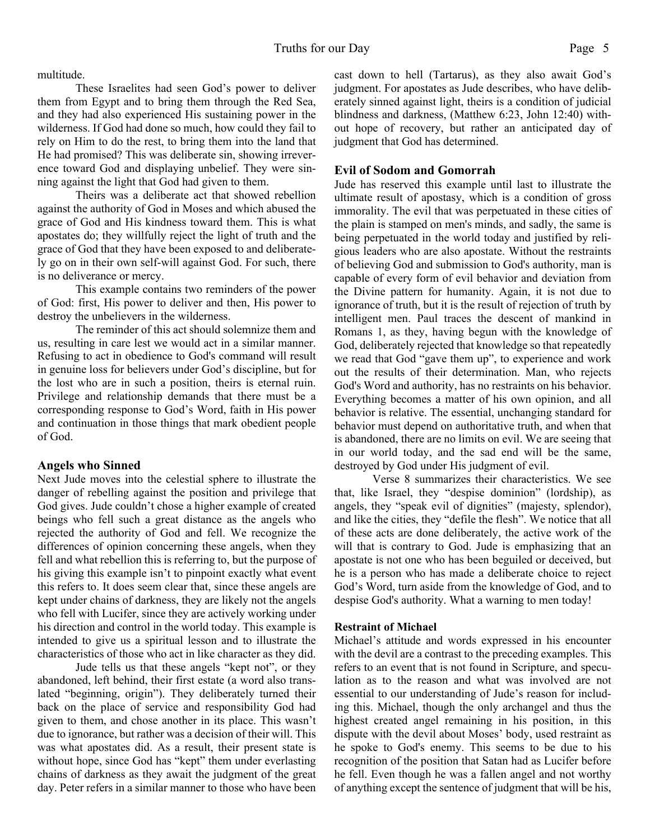multitude.

 These Israelites had seen God's power to deliver them from Egypt and to bring them through the Red Sea, and they had also experienced His sustaining power in the wilderness. If God had done so much, how could they fail to rely on Him to do the rest, to bring them into the land that He had promised? This was deliberate sin, showing irreverence toward God and displaying unbelief. They were sinning against the light that God had given to them.

 Theirs was a deliberate act that showed rebellion against the authority of God in Moses and which abused the grace of God and His kindness toward them. This is what apostates do; they willfully reject the light of truth and the grace of God that they have been exposed to and deliberately go on in their own self-will against God. For such, there is no deliverance or mercy.

 This example contains two reminders of the power of God: first, His power to deliver and then, His power to destroy the unbelievers in the wilderness.

 The reminder of this act should solemnize them and us, resulting in care lest we would act in a similar manner. Refusing to act in obedience to God's command will result in genuine loss for believers under God's discipline, but for the lost who are in such a position, theirs is eternal ruin. Privilege and relationship demands that there must be a corresponding response to God's Word, faith in His power and continuation in those things that mark obedient people of God.

#### **Angels who Sinned**

Next Jude moves into the celestial sphere to illustrate the danger of rebelling against the position and privilege that God gives. Jude couldn't chose a higher example of created beings who fell such a great distance as the angels who rejected the authority of God and fell. We recognize the differences of opinion concerning these angels, when they fell and what rebellion this is referring to, but the purpose of his giving this example isn't to pinpoint exactly what event this refers to. It does seem clear that, since these angels are kept under chains of darkness, they are likely not the angels who fell with Lucifer, since they are actively working under his direction and control in the world today. This example is intended to give us a spiritual lesson and to illustrate the characteristics of those who act in like character as they did.

 Jude tells us that these angels "kept not", or they abandoned, left behind, their first estate (a word also translated "beginning, origin"). They deliberately turned their back on the place of service and responsibility God had given to them, and chose another in its place. This wasn't due to ignorance, but rather was a decision of their will. This was what apostates did. As a result, their present state is without hope, since God has "kept" them under everlasting chains of darkness as they await the judgment of the great day. Peter refers in a similar manner to those who have been cast down to hell (Tartarus), as they also await God's judgment. For apostates as Jude describes, who have deliberately sinned against light, theirs is a condition of judicial blindness and darkness, (Matthew 6:23, John 12:40) without hope of recovery, but rather an anticipated day of judgment that God has determined.

#### **Evil of Sodom and Gomorrah**

Jude has reserved this example until last to illustrate the ultimate result of apostasy, which is a condition of gross immorality. The evil that was perpetuated in these cities of the plain is stamped on men's minds, and sadly, the same is being perpetuated in the world today and justified by religious leaders who are also apostate. Without the restraints of believing God and submission to God's authority, man is capable of every form of evil behavior and deviation from the Divine pattern for humanity. Again, it is not due to ignorance of truth, but it is the result of rejection of truth by intelligent men. Paul traces the descent of mankind in Romans 1, as they, having begun with the knowledge of God, deliberately rejected that knowledge so that repeatedly we read that God "gave them up", to experience and work out the results of their determination. Man, who rejects God's Word and authority, has no restraints on his behavior. Everything becomes a matter of his own opinion, and all behavior is relative. The essential, unchanging standard for behavior must depend on authoritative truth, and when that is abandoned, there are no limits on evil. We are seeing that in our world today, and the sad end will be the same, destroyed by God under His judgment of evil.

 Verse 8 summarizes their characteristics. We see that, like Israel, they "despise dominion" (lordship), as angels, they "speak evil of dignities" (majesty, splendor), and like the cities, they "defile the flesh". We notice that all of these acts are done deliberately, the active work of the will that is contrary to God. Jude is emphasizing that an apostate is not one who has been beguiled or deceived, but he is a person who has made a deliberate choice to reject God's Word, turn aside from the knowledge of God, and to despise God's authority. What a warning to men today!

#### **Restraint of Michael**

Michael's attitude and words expressed in his encounter with the devil are a contrast to the preceding examples. This refers to an event that is not found in Scripture, and speculation as to the reason and what was involved are not essential to our understanding of Jude's reason for including this. Michael, though the only archangel and thus the highest created angel remaining in his position, in this dispute with the devil about Moses' body, used restraint as he spoke to God's enemy. This seems to be due to his recognition of the position that Satan had as Lucifer before he fell. Even though he was a fallen angel and not worthy of anything except the sentence of judgment that will be his,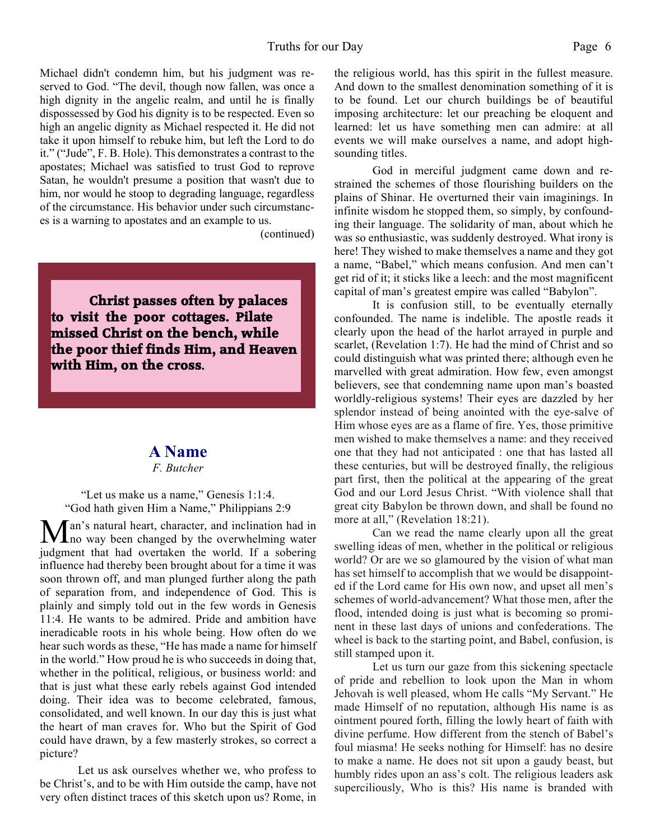Michael didn't condemn him, but his judgment was reserved to God. "The devil, though now fallen, was once a high dignity in the angelic realm, and until he is finally dispossessed by God his dignity is to be respected. Even so high an angelic dignity as Michael respected it. He did not take it upon himself to rebuke him, but left the Lord to do it." ("Jude", F. B. Hole). This demonstrates a contrast to the apostates; Michael was satisfied to trust God to reprove Satan, he wouldn't presume a position that wasn't due to him, nor would he stoop to degrading language, regardless of the circumstance. His behavior under such circumstances is a warning to apostates and an example to us.

(continued)

**Christ passes often by palaces to visit the poor cottages. Pilate missed Christ on the bench, while the poor thief finds Him, and Heaven with Him, on the cross.**

#### **A Name**

*F. Butcher*

"Let us make us a name," Genesis 1:1:4. "God hath given Him a Name," Philippians 2:9

Man's natural heart, character, and inclination had in<br>no way been changed by the overwhelming water judgment that had overtaken the world. If a sobering influence had thereby been brought about for a time it was soon thrown off, and man plunged further along the path of separation from, and independence of God. This is plainly and simply told out in the few words in Genesis 11:4. He wants to be admired. Pride and ambition have ineradicable roots in his whole being. How often do we hear such words as these, "He has made a name for himself in the world." How proud he is who succeeds in doing that, whether in the political, religious, or business world: and that is just what these early rebels against God intended doing. Their idea was to become celebrated, famous, consolidated, and well known. In our day this is just what the heart of man craves for. Who but the Spirit of God could have drawn, by a few masterly strokes, so correct a picture?

Let us ask ourselves whether we, who profess to be Christ's, and to be with Him outside the camp, have not very often distinct traces of this sketch upon us? Rome, in the religious world, has this spirit in the fullest measure. And down to the smallest denomination something of it is to be found. Let our church buildings be of beautiful imposing architecture: let our preaching be eloquent and learned: let us have something men can admire: at all events we will make ourselves a name, and adopt highsounding titles.

God in merciful judgment came down and restrained the schemes of those flourishing builders on the plains of Shinar. He overturned their vain imaginings. In infinite wisdom he stopped them, so simply, by confounding their language. The solidarity of man, about which he was so enthusiastic, was suddenly destroyed. What irony is here! They wished to make themselves a name and they got a name, "Babel," which means confusion. And men can't get rid of it; it sticks like a leech: and the most magnificent capital of man's greatest empire was called "Babylon".

It is confusion still, to be eventually eternally confounded. The name is indelible. The apostle reads it clearly upon the head of the harlot arrayed in purple and scarlet, (Revelation 1:7). He had the mind of Christ and so could distinguish what was printed there; although even he marvelled with great admiration. How few, even amongst believers, see that condemning name upon man's boasted worldly-religious systems! Their eyes are dazzled by her splendor instead of being anointed with the eye-salve of Him whose eyes are as a flame of fire. Yes, those primitive men wished to make themselves a name: and they received one that they had not anticipated : one that has lasted all these centuries, but will be destroyed finally, the religious part first, then the political at the appearing of the great God and our Lord Jesus Christ. "With violence shall that great city Babylon be thrown down, and shall be found no more at all," (Revelation 18:21).

Can we read the name clearly upon all the great swelling ideas of men, whether in the political or religious world? Or are we so glamoured by the vision of what man has set himself to accomplish that we would be disappointed if the Lord came for His own now, and upset all men's schemes of world-advancement? What those men, after the flood, intended doing is just what is becoming so prominent in these last days of unions and confederations. The wheel is back to the starting point, and Babel, confusion, is still stamped upon it.

Let us turn our gaze from this sickening spectacle of pride and rebellion to look upon the Man in whom Jehovah is well pleased, whom He calls "My Servant." He made Himself of no reputation, although His name is as ointment poured forth, filling the lowly heart of faith with divine perfume. How different from the stench of Babel's foul miasma! He seeks nothing for Himself: has no desire to make a name. He does not sit upon a gaudy beast, but humbly rides upon an ass's colt. The religious leaders ask superciliously, Who is this? His name is branded with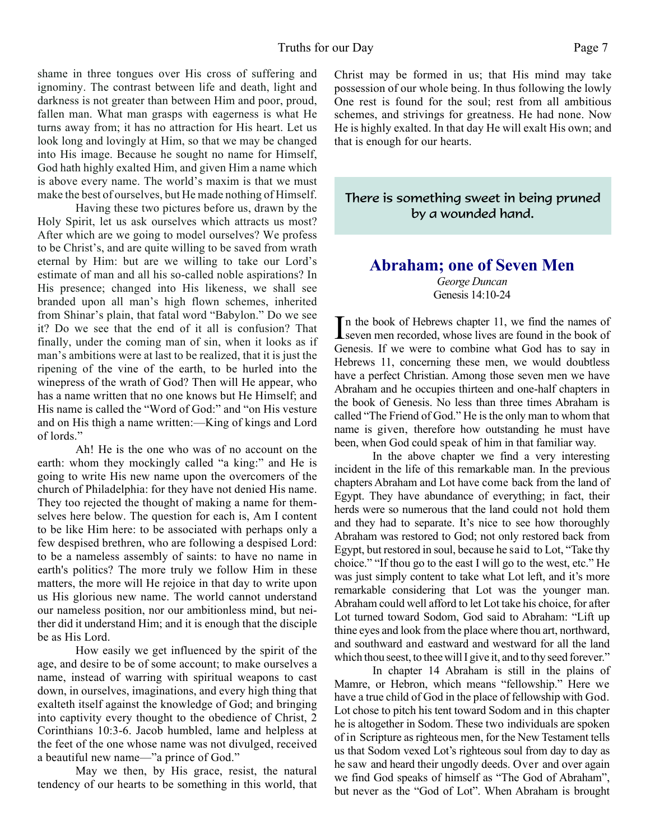shame in three tongues over His cross of suffering and ignominy. The contrast between life and death, light and darkness is not greater than between Him and poor, proud, fallen man. What man grasps with eagerness is what He turns away from; it has no attraction for His heart. Let us look long and lovingly at Him, so that we may be changed into His image. Because he sought no name for Himself, God hath highly exalted Him, and given Him a name which is above every name. The world's maxim is that we must make the best of ourselves, but He made nothing of Himself.

Having these two pictures before us, drawn by the Holy Spirit, let us ask ourselves which attracts us most? After which are we going to model ourselves? We profess to be Christ's, and are quite willing to be saved from wrath eternal by Him: but are we willing to take our Lord's estimate of man and all his so-called noble aspirations? In His presence; changed into His likeness, we shall see branded upon all man's high flown schemes, inherited from Shinar's plain, that fatal word "Babylon." Do we see it? Do we see that the end of it all is confusion? That finally, under the coming man of sin, when it looks as if man's ambitions were at last to be realized, that it is just the ripening of the vine of the earth, to be hurled into the winepress of the wrath of God? Then will He appear, who has a name written that no one knows but He Himself; and His name is called the "Word of God:" and "on His vesture and on His thigh a name written:—King of kings and Lord of lords."

Ah! He is the one who was of no account on the earth: whom they mockingly called "a king:" and He is going to write His new name upon the overcomers of the church of Philadelphia: for they have not denied His name. They too rejected the thought of making a name for themselves here below. The question for each is, Am I content to be like Him here: to be associated with perhaps only a few despised brethren, who are following a despised Lord: to be a nameless assembly of saints: to have no name in earth's politics? The more truly we follow Him in these matters, the more will He rejoice in that day to write upon us His glorious new name. The world cannot understand our nameless position, nor our ambitionless mind, but neither did it understand Him; and it is enough that the disciple be as His Lord.

How easily we get influenced by the spirit of the age, and desire to be of some account; to make ourselves a name, instead of warring with spiritual weapons to cast down, in ourselves, imaginations, and every high thing that exalteth itself against the knowledge of God; and bringing into captivity every thought to the obedience of Christ, 2 Corinthians 10:3-6. Jacob humbled, lame and helpless at the feet of the one whose name was not divulged, received a beautiful new name—"a prince of God."

May we then, by His grace, resist, the natural tendency of our hearts to be something in this world, that Christ may be formed in us; that His mind may take possession of our whole being. In thus following the lowly One rest is found for the soul; rest from all ambitious schemes, and strivings for greatness. He had none. Now He is highly exalted. In that day He will exalt His own; and that is enough for our hearts.

#### There is something sweet in being pruned by a wounded hand.

#### **Abraham; one of Seven Men**

*George Duncan* Genesis 14:10-24

In the book of Hebrews chapter 11, we find the names of seven men recorded, whose lives are found in the book of seven men recorded, whose lives are found in the book of Genesis. If we were to combine what God has to say in Hebrews 11, concerning these men, we would doubtless have a perfect Christian. Among those seven men we have Abraham and he occupies thirteen and one-half chapters in the book of Genesis. No less than three times Abraham is called "The Friend of God." He is the only man to whom that name is given, therefore how outstanding he must have been, when God could speak of him in that familiar way.

In the above chapter we find a very interesting incident in the life of this remarkable man. In the previous chapters Abraham and Lot have come back from the land of Egypt. They have abundance of everything; in fact, their herds were so numerous that the land could not hold them and they had to separate. It's nice to see how thoroughly Abraham was restored to God; not only restored back from Egypt, but restored in soul, because he said to Lot, "Take thy choice." "If thou go to the east I will go to the west, etc." He was just simply content to take what Lot left, and it's more remarkable considering that Lot was the younger man. Abraham could well afford to let Lot take his choice, for after Lot turned toward Sodom, God said to Abraham: "Lift up thine eyes and look from the place where thou art, northward, and southward and eastward and westward for all the land which thou seest, to thee will I give it, and to thy seed forever."

In chapter 14 Abraham is still in the plains of Mamre, or Hebron, which means "fellowship." Here we have a true child of God in the place of fellowship with God. Lot chose to pitch his tent toward Sodom and in this chapter he is altogether in Sodom. These two individuals are spoken of in Scripture as righteous men, for the New Testament tells us that Sodom vexed Lot's righteous soul from day to day as he saw and heard their ungodly deeds. Over and over again we find God speaks of himself as "The God of Abraham", but never as the "God of Lot". When Abraham is brought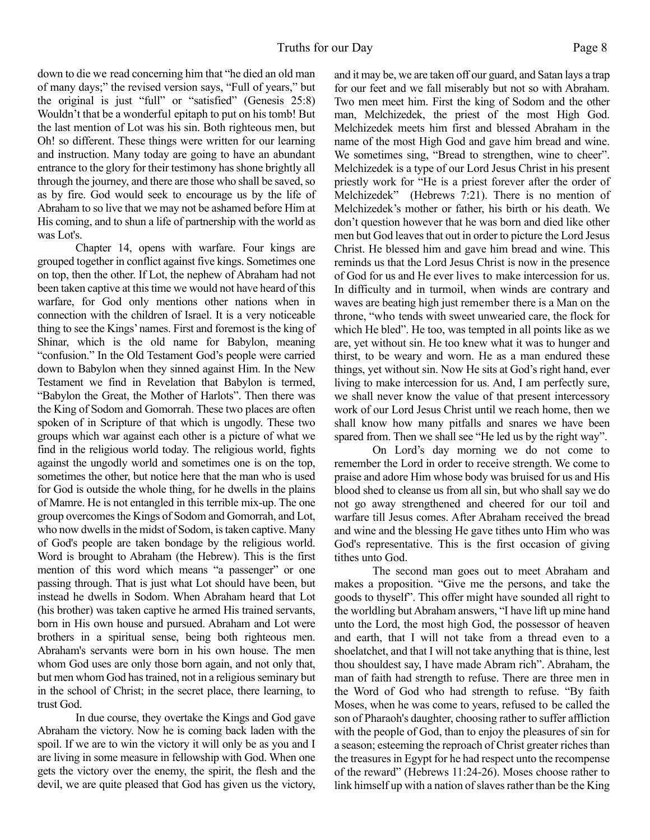down to die we read concerning him that "he died an old man of many days;" the revised version says, "Full of years," but the original is just "full" or "satisfied" (Genesis 25:8) Wouldn't that be a wonderful epitaph to put on his tomb! But the last mention of Lot was his sin. Both righteous men, but Oh! so different. These things were written for our learning and instruction. Many today are going to have an abundant entrance to the glory for their testimony has shone brightly all through the journey, and there are those who shall be saved, so as by fire. God would seek to encourage us by the life of Abraham to so live that we may not be ashamed before Him at His coming, and to shun a life of partnership with the world as was Lot's.

Chapter 14, opens with warfare. Four kings are grouped together in conflict against five kings. Sometimes one on top, then the other. If Lot, the nephew of Abraham had not been taken captive at this time we would not have heard of this warfare, for God only mentions other nations when in connection with the children of Israel. It is a very noticeable thing to see the Kings' names. First and foremost is the king of Shinar, which is the old name for Babylon, meaning "confusion." In the Old Testament God's people were carried down to Babylon when they sinned against Him. In the New Testament we find in Revelation that Babylon is termed, "Babylon the Great, the Mother of Harlots". Then there was the King of Sodom and Gomorrah. These two places are often spoken of in Scripture of that which is ungodly. These two groups which war against each other is a picture of what we find in the religious world today. The religious world, fights against the ungodly world and sometimes one is on the top, sometimes the other, but notice here that the man who is used for God is outside the whole thing, for he dwells in the plains of Mamre. He is not entangled in this terrible mix-up. The one group overcomes the Kings of Sodom and Gomorrah, and Lot, who now dwells in the midst of Sodom, is taken captive. Many of God's people are taken bondage by the religious world. Word is brought to Abraham (the Hebrew). This is the first mention of this word which means "a passenger" or one passing through. That is just what Lot should have been, but instead he dwells in Sodom. When Abraham heard that Lot (his brother) was taken captive he armed His trained servants, born in His own house and pursued. Abraham and Lot were brothers in a spiritual sense, being both righteous men. Abraham's servants were born in his own house. The men whom God uses are only those born again, and not only that, but men whom God has trained, not in a religious seminary but in the school of Christ; in the secret place, there learning, to trust God.

In due course, they overtake the Kings and God gave Abraham the victory. Now he is coming back laden with the spoil. If we are to win the victory it will only be as you and I are living in some measure in fellowship with God. When one gets the victory over the enemy, the spirit, the flesh and the devil, we are quite pleased that God has given us the victory, and it may be, we are taken off our guard, and Satan lays a trap for our feet and we fall miserably but not so with Abraham. Two men meet him. First the king of Sodom and the other man, Melchizedek, the priest of the most High God. Melchizedek meets him first and blessed Abraham in the name of the most High God and gave him bread and wine. We sometimes sing, "Bread to strengthen, wine to cheer". Melchizedek is a type of our Lord Jesus Christ in his present priestly work for "He is a priest forever after the order of Melchizedek" (Hebrews 7:21). There is no mention of Melchizedek's mother or father, his birth or his death. We don't question however that he was born and died like other men but God leaves that out in order to picture the Lord Jesus Christ. He blessed him and gave him bread and wine. This reminds us that the Lord Jesus Christ is now in the presence of God for us and He ever lives to make intercession for us. In difficulty and in turmoil, when winds are contrary and waves are beating high just remember there is a Man on the throne, "who tends with sweet unwearied care, the flock for which He bled". He too, was tempted in all points like as we are, yet without sin. He too knew what it was to hunger and thirst, to be weary and worn. He as a man endured these things, yet without sin. Now He sits at God's right hand, ever living to make intercession for us. And, I am perfectly sure, we shall never know the value of that present intercessory work of our Lord Jesus Christ until we reach home, then we shall know how many pitfalls and snares we have been spared from. Then we shall see "He led us by the right way".

On Lord's day morning we do not come to remember the Lord in order to receive strength. We come to praise and adore Him whose body was bruised for us and His blood shed to cleanse us from all sin, but who shall say we do not go away strengthened and cheered for our toil and warfare till Jesus comes. After Abraham received the bread and wine and the blessing He gave tithes unto Him who was God's representative. This is the first occasion of giving tithes unto God.

The second man goes out to meet Abraham and makes a proposition. "Give me the persons, and take the goods to thyself". This offer might have sounded all right to the worldling but Abraham answers, "I have lift up mine hand unto the Lord, the most high God, the possessor of heaven and earth, that I will not take from a thread even to a shoelatchet, and that I will not take anything that is thine, lest thou shouldest say, I have made Abram rich". Abraham, the man of faith had strength to refuse. There are three men in the Word of God who had strength to refuse. "By faith Moses, when he was come to years, refused to be called the son of Pharaoh's daughter, choosing rather to suffer affliction with the people of God, than to enjoy the pleasures of sin for a season; esteeming the reproach of Christ greater riches than the treasures in Egypt for he had respect unto the recompense of the reward" (Hebrews 11:24-26). Moses choose rather to link himself up with a nation of slaves rather than be the King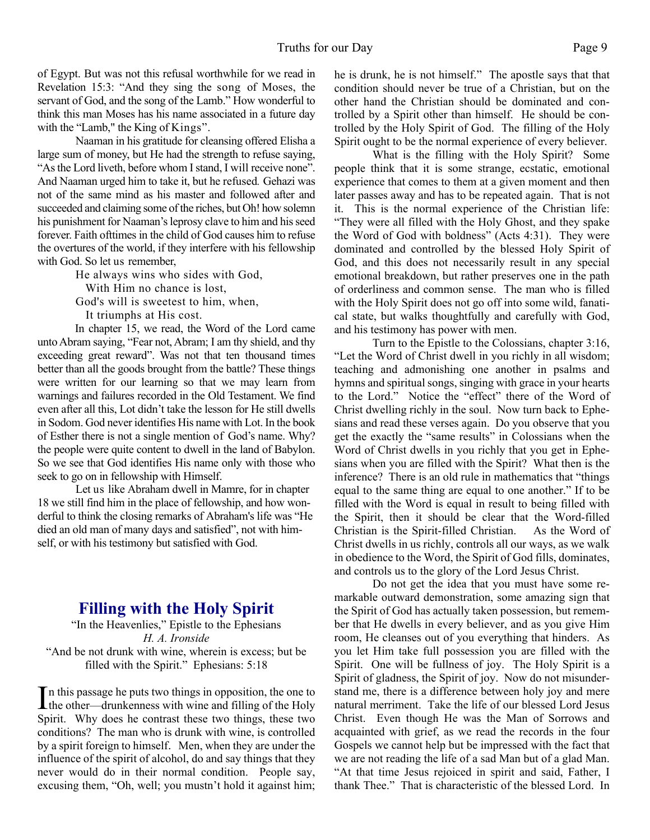of Egypt. But was not this refusal worthwhile for we read in Revelation 15:3: "And they sing the song of Moses, the servant of God, and the song of the Lamb." How wonderful to think this man Moses has his name associated in a future day with the "Lamb," the King of Kings".

Naaman in his gratitude for cleansing offered Elisha a large sum of money, but He had the strength to refuse saying, "As the Lord liveth, before whom I stand, I will receive none". And Naaman urged him to take it, but he refused*.* Gehazi was not of the same mind as his master and followed after and succeeded and claiming some of the riches, but Oh! how solemn his punishment for Naaman's leprosy clave to him and his seed forever. Faith ofttimes in the child of God causes him to refuse the overtures of the world, if they interfere with his fellowship with God. So let us remember,

He always wins who sides with God,

With Him no chance is lost.

God's will is sweetest to him, when,

It triumphs at His cost.

In chapter 15, we read, the Word of the Lord came unto Abram saying, "Fear not, Abram; I am thy shield, and thy exceeding great reward". Was not that ten thousand times better than all the goods brought from the battle? These things were written for our learning so that we may learn from warnings and failures recorded in the Old Testament. We find even after all this, Lot didn't take the lesson for He still dwells in Sodom. God never identifies His name with Lot. In the book of Esther there is not a single mention of God's name. Why? the people were quite content to dwell in the land of Babylon. So we see that God identifies His name only with those who seek to go on in fellowship with Himself.

Let us like Abraham dwell in Mamre, for in chapter 18 we still find him in the place of fellowship, and how wonderful to think the closing remarks of Abraham's life was "He died an old man of many days and satisfied", not with himself, or with his testimony but satisfied with God.

#### **Filling with the Holy Spirit**

"In the Heavenlies," Epistle to the Ephesians *H. A. Ironside* "And be not drunk with wine, wherein is excess; but be filled with the Spirit." Ephesians: 5:18

In this passage he puts two things in opposition, the one to<br>the other—drunkenness with wine and filling of the Holy  $\mathbf{T}$ n this passage he puts two things in opposition, the one to Spirit. Why does he contrast these two things, these two conditions? The man who is drunk with wine, is controlled by a spirit foreign to himself. Men, when they are under the influence of the spirit of alcohol, do and say things that they never would do in their normal condition. People say, excusing them, "Oh, well; you mustn't hold it against him; he is drunk, he is not himself." The apostle says that that condition should never be true of a Christian, but on the other hand the Christian should be dominated and controlled by a Spirit other than himself. He should be controlled by the Holy Spirit of God. The filling of the Holy Spirit ought to be the normal experience of every believer.

What is the filling with the Holy Spirit? Some people think that it is some strange, ecstatic, emotional experience that comes to them at a given moment and then later passes away and has to be repeated again. That is not it. This is the normal experience of the Christian life: "They were all filled with the Holy Ghost, and they spake the Word of God with boldness" (Acts 4:31). They were dominated and controlled by the blessed Holy Spirit of God, and this does not necessarily result in any special emotional breakdown, but rather preserves one in the path of orderliness and common sense. The man who is filled with the Holy Spirit does not go off into some wild, fanatical state, but walks thoughtfully and carefully with God, and his testimony has power with men.

Turn to the Epistle to the Colossians, chapter 3:16, "Let the Word of Christ dwell in you richly in all wisdom; teaching and admonishing one another in psalms and hymns and spiritual songs, singing with grace in your hearts to the Lord." Notice the "effect" there of the Word of Christ dwelling richly in the soul. Now turn back to Ephesians and read these verses again. Do you observe that you get the exactly the "same results" in Colossians when the Word of Christ dwells in you richly that you get in Ephesians when you are filled with the Spirit? What then is the inference? There is an old rule in mathematics that "things equal to the same thing are equal to one another." If to be filled with the Word is equal in result to being filled with the Spirit, then it should be clear that the Word-filled Christian is the Spirit-filled Christian. As the Word of Christ dwells in us richly, controls all our ways, as we walk in obedience to the Word, the Spirit of God fills, dominates, and controls us to the glory of the Lord Jesus Christ.

Do not get the idea that you must have some remarkable outward demonstration, some amazing sign that the Spirit of God has actually taken possession, but remember that He dwells in every believer, and as you give Him room, He cleanses out of you everything that hinders. As you let Him take full possession you are filled with the Spirit. One will be fullness of joy. The Holy Spirit is a Spirit of gladness, the Spirit of joy. Now do not misunderstand me, there is a difference between holy joy and mere natural merriment. Take the life of our blessed Lord Jesus Christ. Even though He was the Man of Sorrows and acquainted with grief, as we read the records in the four Gospels we cannot help but be impressed with the fact that we are not reading the life of a sad Man but of a glad Man. "At that time Jesus rejoiced in spirit and said, Father, I thank Thee." That is characteristic of the blessed Lord. In